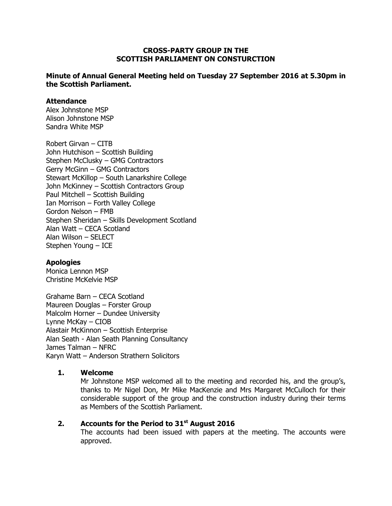#### **CROSS-PARTY GROUP IN THE SCOTTISH PARLIAMENT ON CONSTURCTION**

#### **Minute of Annual General Meeting held on Tuesday 27 September 2016 at 5.30pm in the Scottish Parliament.**

#### **Attendance**

Alex Johnstone MSP Alison Johnstone MSP Sandra White MSP

Robert Girvan – CITB John Hutchison – Scottish Building Stephen McClusky – GMG Contractors Gerry McGinn – GMG Contractors Stewart McKillop – South Lanarkshire College John McKinney – Scottish Contractors Group Paul Mitchell – Scottish Building Ian Morrison – Forth Valley College Gordon Nelson – FMB Stephen Sheridan – Skills Development Scotland Alan Watt – CECA Scotland Alan Wilson – SELECT Stephen Young – ICE

# **Apologies**

Monica Lennon MSP Christine McKelvie MSP

Grahame Barn – CECA Scotland Maureen Douglas – Forster Group Malcolm Horner – Dundee University Lynne McKay – CIOB Alastair McKinnon – Scottish Enterprise Alan Seath - Alan Seath Planning Consultancy James Talman – NFRC Karyn Watt – Anderson Strathern Solicitors

# **1. Welcome**

Mr Johnstone MSP welcomed all to the meeting and recorded his, and the group's, thanks to Mr Nigel Don, Mr Mike MacKenzie and Mrs Margaret McCulloch for their considerable support of the group and the construction industry during their terms as Members of the Scottish Parliament.

# **2. Accounts for the Period to 31st August 2016**

The accounts had been issued with papers at the meeting. The accounts were approved.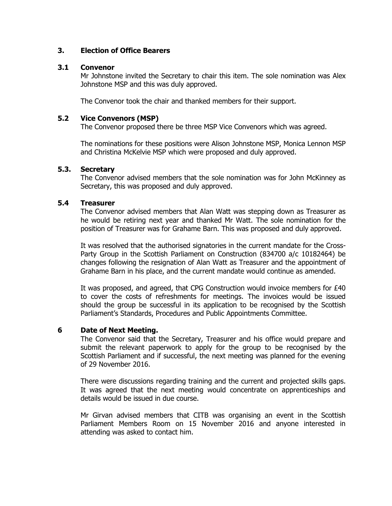# **3. Election of Office Bearers**

# **3.1 Convenor**

Mr Johnstone invited the Secretary to chair this item. The sole nomination was Alex Johnstone MSP and this was duly approved.

The Convenor took the chair and thanked members for their support.

#### **5.2 Vice Convenors (MSP)**

The Convenor proposed there be three MSP Vice Convenors which was agreed.

The nominations for these positions were Alison Johnstone MSP, Monica Lennon MSP and Christina McKelvie MSP which were proposed and duly approved.

#### **5.3. Secretary**

The Convenor advised members that the sole nomination was for John McKinney as Secretary, this was proposed and duly approved.

#### **5.4 Treasurer**

The Convenor advised members that Alan Watt was stepping down as Treasurer as he would be retiring next year and thanked Mr Watt. The sole nomination for the position of Treasurer was for Grahame Barn. This was proposed and duly approved.

It was resolved that the authorised signatories in the current mandate for the Cross-Party Group in the Scottish Parliament on Construction (834700 a/c 10182464) be changes following the resignation of Alan Watt as Treasurer and the appointment of Grahame Barn in his place, and the current mandate would continue as amended.

It was proposed, and agreed, that CPG Construction would invoice members for £40 to cover the costs of refreshments for meetings. The invoices would be issued should the group be successful in its application to be recognised by the Scottish Parliament's Standards, Procedures and Public Appointments Committee.

# **6 Date of Next Meeting.**

The Convenor said that the Secretary, Treasurer and his office would prepare and submit the relevant paperwork to apply for the group to be recognised by the Scottish Parliament and if successful, the next meeting was planned for the evening of 29 November 2016.

There were discussions regarding training and the current and projected skills gaps. It was agreed that the next meeting would concentrate on apprenticeships and details would be issued in due course.

Mr Girvan advised members that CITB was organising an event in the Scottish Parliament Members Room on 15 November 2016 and anyone interested in attending was asked to contact him.